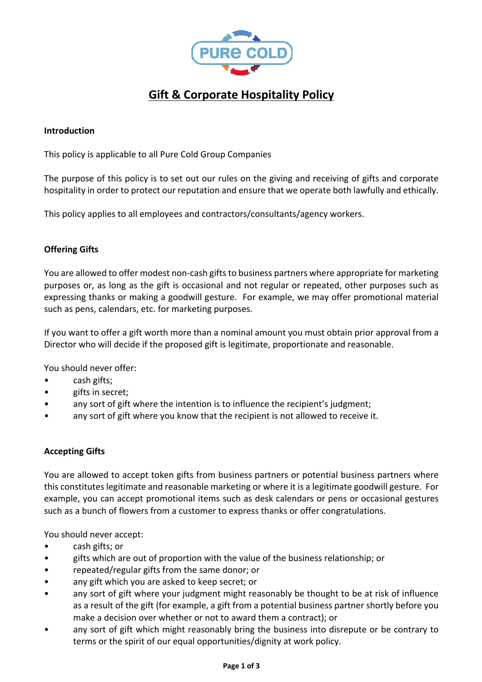

# **Gift & Corporate Hospitality Policy**

## **Introduction**

This policy is applicable to all Pure Cold Group Companies

The purpose of this policy is to set out our rules on the giving and receiving of gifts and corporate hospitality in order to protect our reputation and ensure that we operate both lawfully and ethically.

This policy applies to all employees and contractors/consultants/agency workers.

# **Offering Gifts**

You are allowed to offer modest non-cash gifts to business partners where appropriate for marketing purposes or, as long as the gift is occasional and not regular or repeated, other purposes such as expressing thanks or making a goodwill gesture. For example, we may offer promotional material such as pens, calendars, etc. for marketing purposes.

If you want to offer a gift worth more than a nominal amount you must obtain prior approval from a Director who will decide if the proposed gift is legitimate, proportionate and reasonable.

You should never offer:

- cash gifts;
- gifts in secret;
- any sort of gift where the intention is to influence the recipient's judgment;
- any sort of gift where you know that the recipient is not allowed to receive it.

#### **Accepting Gifts**

You are allowed to accept token gifts from business partners or potential business partners where this constitutes legitimate and reasonable marketing or where it is a legitimate goodwill gesture. For example, you can accept promotional items such as desk calendars or pens or occasional gestures such as a bunch of flowers from a customer to express thanks or offer congratulations.

You should never accept:

- cash gifts; or
- gifts which are out of proportion with the value of the business relationship; or
- repeated/regular gifts from the same donor; or
- any gift which you are asked to keep secret; or
- any sort of gift where your judgment might reasonably be thought to be at risk of influence as a result of the gift (for example, a gift from a potential business partner shortly before you make a decision over whether or not to award them a contract); or
- any sort of gift which might reasonably bring the business into disrepute or be contrary to terms or the spirit of our equal opportunities/dignity at work policy.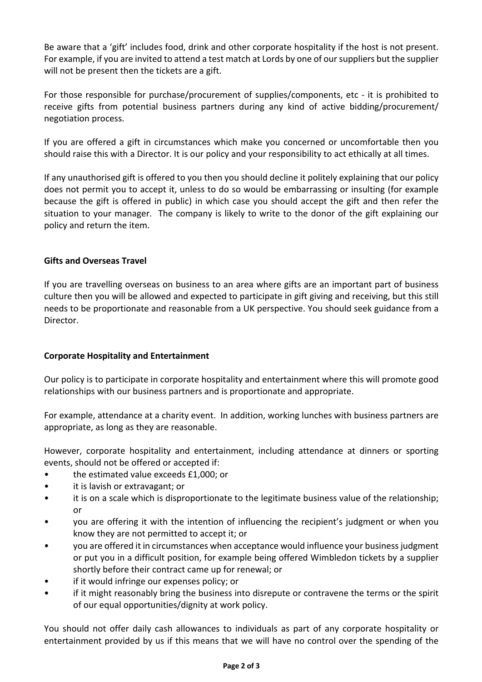Be aware that a 'gift' includes food, drink and other corporate hospitality if the host is not present. For example, if you are invited to attend a test match at Lords by one of our suppliers but the supplier will not be present then the tickets are a gift.

For those responsible for purchase/procurement of supplies/components, etc - it is prohibited to receive gifts from potential business partners during any kind of active bidding/procurement/ negotiation process.

If you are offered a gift in circumstances which make you concerned or uncomfortable then you should raise this with a Director. It is our policy and your responsibility to act ethically at all times.

If any unauthorised gift is offered to you then you should decline it politely explaining that our policy does not permit you to accept it, unless to do so would be embarrassing or insulting (for example because the gift is offered in public) in which case you should accept the gift and then refer the situation to your manager. The company is likely to write to the donor of the gift explaining our policy and return the item.

## **Gifts and Overseas Travel**

If you are travelling overseas on business to an area where gifts are an important part of business culture then you will be allowed and expected to participate in gift giving and receiving, but this still needs to be proportionate and reasonable from a UK perspective. You should seek guidance from a Director.

# **Corporate Hospitality and Entertainment**

Our policy is to participate in corporate hospitality and entertainment where this will promote good relationships with our business partners and is proportionate and appropriate.

For example, attendance at a charity event. In addition, working lunches with business partners are appropriate, as long as they are reasonable.

However, corporate hospitality and entertainment, including attendance at dinners or sporting events, should not be offered or accepted if:

- the estimated value exceeds £1,000; or
- it is lavish or extravagant; or
- it is on a scale which is disproportionate to the legitimate business value of the relationship; or
- you are offering it with the intention of influencing the recipient's judgment or when you know they are not permitted to accept it; or
- you are offered it in circumstances when acceptance would influence your business judgment or put you in a difficult position, for example being offered Wimbledon tickets by a supplier shortly before their contract came up for renewal; or
- if it would infringe our expenses policy; or
- if it might reasonably bring the business into disrepute or contravene the terms or the spirit of our equal opportunities/dignity at work policy.

You should not offer daily cash allowances to individuals as part of any corporate hospitality or entertainment provided by us if this means that we will have no control over the spending of the